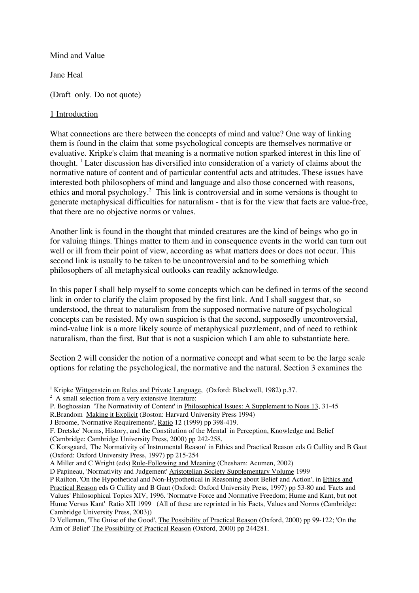# Mind and Value

Jane Heal

(Draft only. Do not quote)

# 1 Introduction

What connections are there between the concepts of mind and value? One way of linking them is found in the claim that some psychological concepts are themselves normative or evaluative. Kripke's claim that meaning is a normative notion sparked interest in this line of thought. <sup>1</sup> Later discussion has diversified into consideration of a variety of claims about the normative nature of content and of particular contentful acts and attitudes. These issues have interested both philosophers of mind and language and also those concerned with reasons, ethics and moral psychology.<sup>2</sup> This link is controversial and in some versions is thought to generate metaphysical difficulties for naturalism - that is for the view that facts are value-free, that there are no objective norms or values.

Another link is found in the thought that minded creatures are the kind of beings who go in for valuing things. Things matter to them and in consequence events in the world can turn out well or ill from their point of view, according as what matters does or does not occur. This second link is usually to be taken to be uncontroversial and to be something which philosophers of all metaphysical outlooks can readily acknowledge.

In this paper I shall help myself to some concepts which can be defined in terms of the second link in order to clarify the claim proposed by the first link. And I shall suggest that, so understood, the threat to naturalism from the supposed normative nature of psychological concepts can be resisted. My own suspicion is that the second, supposedly uncontroversial, mind-value link is a more likely source of metaphysical puzzlement, and of need to rethink naturalism, than the first. But that is not a suspicion which I am able to substantiate here.

Section 2 will consider the notion of a normative concept and what seem to be the large scale options for relating the psychological, the normative and the natural. Section 3 examines the

P. Boghossian 'The Normativity of Content' in Philosophical Issues: A Supplement to Nous 13, 31-45

<sup>&</sup>lt;sup>1</sup> Kripke Wittgenstein on Rules and Private Language, (Oxford: Blackwell, 1982) p.37.

<sup>&</sup>lt;sup>2</sup> A small selection from a very extensive literature:

R.Brandom Making it Explicit (Boston: Harvard University Press 1994)

J Broome, 'Normative Requirements', Ratio 12 (1999) pp 398-419.

F. Dretske' Norms, History, and the Constitution of the Mental' in Perception, Knowledge and Belief (Cambridge: Cambridge University Press, 2000) pp 242-258.

C Korsgaard, 'The Normativity of Instrumental Reason' in Ethics and Practical Reason eds G Cullity and B Gaut (Oxford: Oxford University Press, 1997) pp 215-254

A Miller and C Wright (eds) Rule-Following and Meaning (Chesham: Acumen, 2002)

D Papineau, 'Normativity and Judgement' Aristotelian Society Supplementary Volume 1999

P Railton, 'On the Hypothetical and Non-Hypothetical in Reasoning about Belief and Action', in Ethics and Practical Reason eds G Cullity and B Gaut (Oxford: Oxford University Press, 1997) pp 53-80 and 'Facts and Values' Philosophical Topics XIV, 1996. 'Normatve Force and Normative Freedom; Hume and Kant, but not Hume Versus Kant' Ratio XII 1999 (All of these are reprinted in his Facts, Values and Norms (Cambridge: Cambridge University Press, 2003))

D Velleman, 'The Guise of the Good', The Possibility of Practical Reason (Oxford, 2000) pp 99-122; 'On the Aim of Belief' The Possibility of Practical Reason (Oxford, 2000) pp 244281.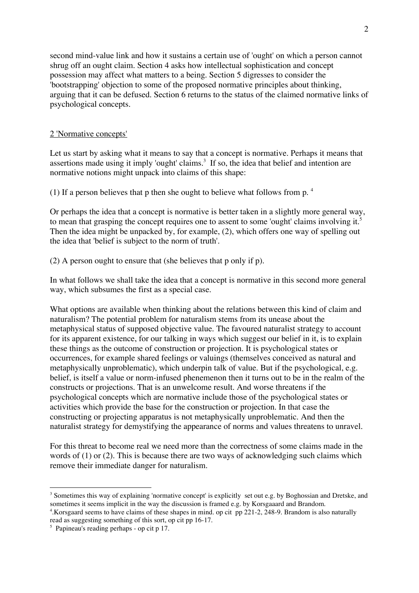second mind-value link and how it sustains a certain use of 'ought' on which a person cannot shrug off an ought claim. Section 4 asks how intellectual sophistication and concept possession may affect what matters to a being. Section 5 digresses to consider the 'bootstrapping' objection to some of the proposed normative principles about thinking, arguing that it can be defused. Section 6 returns to the status of the claimed normative links of psychological concepts.

## 2 'Normative concepts'

Let us start by asking what it means to say that a concept is normative. Perhaps it means that assertions made using it imply 'ought' claims.<sup>3</sup> If so, the idea that belief and intention are normative notions might unpack into claims of this shape:

(1) If a person believes that p then she ought to believe what follows from p. 4

Or perhaps the idea that a concept is normative is better taken in a slightly more general way, to mean that grasping the concept requires one to assent to some 'ought' claims involving it.<sup>5</sup> Then the idea might be unpacked by, for example, (2), which offers one way of spelling out the idea that 'belief is subject to the norm of truth'.

(2) A person ought to ensure that (she believes that p only if p).

In what follows we shall take the idea that a concept is normative in this second more general way, which subsumes the first as a special case.

What options are available when thinking about the relations between this kind of claim and naturalism? The potential problem for naturalism stems from its unease about the metaphysical status of supposed objective value. The favoured naturalist strategy to account for its apparent existence, for our talking in ways which suggest our belief in it, is to explain these things as the outcome of construction or projection. It is psychological states or occurrences, for example shared feelings or valuings (themselves conceived as natural and metaphysically unproblematic), which underpin talk of value. But if the psychological, e.g. belief, is itself a value or norm-infused phenemenon then it turns out to be in the realm of the constructs or projections. That is an unwelcome result. And worse threatens if the psychological concepts which are normative include those of the psychological states or activities which provide the base for the construction or projection. In that case the constructing or projecting apparatus is not metaphysically unproblematic. And then the naturalist strategy for demystifying the appearance of norms and values threatens to unravel.

For this threat to become real we need more than the correctness of some claims made in the words of (1) or (2). This is because there are two ways of acknowledging such claims which remove their immediate danger for naturalism.

<sup>&</sup>lt;sup>3</sup> Sometimes this way of explaining 'normative concept' is explicitly set out e.g. by Boghossian and Dretske, and sometimes it seems implicit in the way the discussion is framed e.g. by Korsgaaard and Brandom.

<sup>4</sup> .Korsgaard seems to have claims of these shapes in mind. op cit pp 221-2, 248-9. Brandom is also naturally read as suggesting something of this sort, op cit pp 16-17.

 $<sup>5</sup>$  Papineau's reading perhaps - op cit p 17.</sup>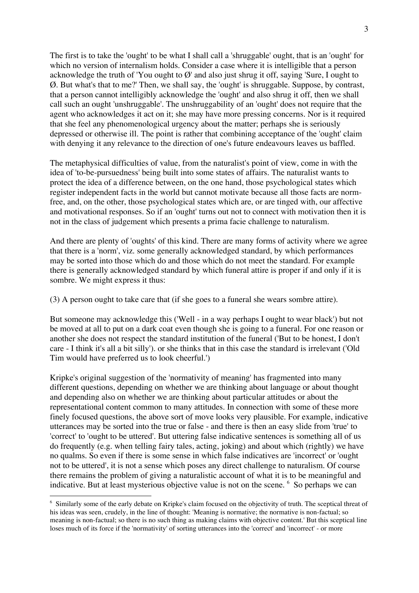The first is to take the 'ought' to be what I shall call a 'shruggable' ought, that is an 'ought' for which no version of internalism holds. Consider a case where it is intelligible that a person acknowledge the truth of 'You ought to  $\varnothing$ ' and also just shrug it off, saying 'Sure, I ought to Ø. But what's that to me?' Then, we shall say, the 'ought' is shruggable. Suppose, by contrast, that a person cannot intelligibly acknowledge the 'ought' and also shrug it off, then we shall call such an ought 'unshruggable'. The unshruggability of an 'ought' does not require that the agent who acknowledges it act on it; she may have more pressing concerns. Nor is it required that she feel any phenomenological urgency about the matter; perhaps she is seriously depressed or otherwise ill. The point is rather that combining acceptance of the 'ought' claim with denying it any relevance to the direction of one's future endeavours leaves us baffled.

The metaphysical difficulties of value, from the naturalist's point of view, come in with the idea of 'to-be-pursuedness' being built into some states of affairs. The naturalist wants to protect the idea of a difference between, on the one hand, those psychological states which register independent facts in the world but cannot motivate because all those facts are normfree, and, on the other, those psychological states which are, or are tinged with, our affective and motivational responses. So if an 'ought' turns out not to connect with motivation then it is not in the class of judgement which presents a prima facie challenge to naturalism.

And there are plenty of 'oughts' of this kind. There are many forms of activity where we agree that there is a 'norm', viz. some generally acknowledged standard, by which performances may be sorted into those which do and those which do not meet the standard. For example there is generally acknowledged standard by which funeral attire is proper if and only if it is sombre. We might express it thus:

(3) A person ought to take care that (if she goes to a funeral she wears sombre attire).

But someone may acknowledge this ('Well - in a way perhaps I ought to wear black') but not be moved at all to put on a dark coat even though she is going to a funeral. For one reason or another she does not respect the standard institution of the funeral ('But to be honest, I don't care - I think it's all a bit silly'). or she thinks that in this case the standard is irrelevant ('Old Tim would have preferred us to look cheerful.')

Kripke's original suggestion of the 'normativity of meaning' has fragmented into many different questions, depending on whether we are thinking about language or about thought and depending also on whether we are thinking about particular attitudes or about the representational content common to many attitudes. In connection with some of these more finely focused questions, the above sort of move looks very plausible. For example, indicative utterances may be sorted into the true or false - and there is then an easy slide from 'true' to 'correct' to 'ought to be uttered'. But uttering false indicative sentences is something all of us do frequently (e.g. when telling fairy tales, acting, joking) and about which (rightly) we have no qualms. So even if there is some sense in which false indicatives are 'incorrect' or 'ought not to be uttered', it is not a sense which poses any direct challenge to naturalism. Of course there remains the problem of giving a naturalistic account of what it is to be meaningful and indicative. But at least mysterious objective value is not on the scene. <sup>6</sup> So perhaps we can

 <sup>6</sup> Similarly some of the early debate on Kripke's claim focused on the objectivity of truth. The sceptical threat of his ideas was seen, crudely, in the line of thought: 'Meaning is normative; the normative is non-factual; so meaning is non-factual; so there is no such thing as making claims with objective content.' But this sceptical line loses much of its force if the 'normativity' of sorting utterances into the 'correct' and 'incorrect' - or more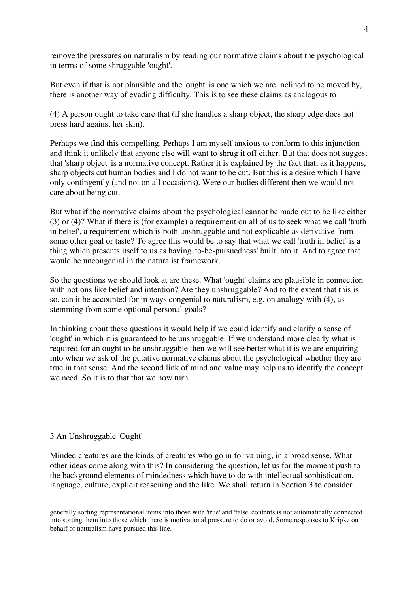remove the pressures on naturalism by reading our normative claims about the psychological in terms of some shruggable 'ought'.

But even if that is not plausible and the 'ought' is one which we are inclined to be moved by, there is another way of evading difficulty. This is to see these claims as analogous to

(4) A person ought to take care that (if she handles a sharp object, the sharp edge does not press hard against her skin).

Perhaps we find this compelling. Perhaps I am myself anxious to conform to this injunction and think it unlikely that anyone else will want to shrug it off either. But that does not suggest that 'sharp object' is a normative concept. Rather it is explained by the fact that, as it happens, sharp objects cut human bodies and I do not want to be cut. But this is a desire which I have only contingently (and not on all occasions). Were our bodies different then we would not care about being cut.

But what if the normative claims about the psychological cannot be made out to be like either (3) or (4)? What if there is (for example) a requirement on all of us to seek what we call 'truth in belief', a requirement which is both unshruggable and not explicable as derivative from some other goal or taste? To agree this would be to say that what we call 'truth in belief' is a thing which presents itself to us as having 'to-be-pursuedness' built into it. And to agree that would be uncongenial in the naturalist framework.

So the questions we should look at are these. What 'ought' claims are plausible in connection with notions like belief and intention? Are they unshruggable? And to the extent that this is so, can it be accounted for in ways congenial to naturalism, e.g. on analogy with (4), as stemming from some optional personal goals?

In thinking about these questions it would help if we could identify and clarify a sense of 'ought' in which it is guaranteed to be unshruggable. If we understand more clearly what is required for an ought to be unshruggable then we will see better what it is we are enquiring into when we ask of the putative normative claims about the psychological whether they are true in that sense. And the second link of mind and value may help us to identify the concept we need. So it is to that that we now turn.

## 3 An Unshruggable 'Ought'

 $\overline{a}$ 

Minded creatures are the kinds of creatures who go in for valuing, in a broad sense. What other ideas come along with this? In considering the question, let us for the moment push to the background elements of mindedness which have to do with intellectual sophistication, language, culture, explicit reasoning and the like. We shall return in Section 3 to consider

generally sorting representational items into those with 'true' and 'false' contents is not automatically connected into sorting them into those which there is motivational pressure to do or avoid. Some responses to Kripke on behalf of naturalism have pursued this line.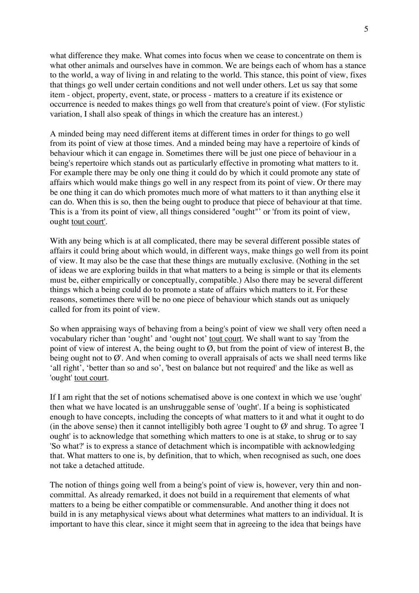what difference they make. What comes into focus when we cease to concentrate on them is what other animals and ourselves have in common. We are beings each of whom has a stance to the world, a way of living in and relating to the world. This stance, this point of view, fixes that things go well under certain conditions and not well under others. Let us say that some item - object, property, event, state, or process - matters to a creature if its existence or occurrence is needed to makes things go well from that creature's point of view. (For stylistic variation, I shall also speak of things in which the creature has an interest.)

A minded being may need different items at different times in order for things to go well from its point of view at those times. And a minded being may have a repertoire of kinds of behaviour which it can engage in. Sometimes there will be just one piece of behaviour in a being's repertoire which stands out as particularly effective in promoting what matters to it. For example there may be only one thing it could do by which it could promote any state of affairs which would make things go well in any respect from its point of view. Or there may be one thing it can do which promotes much more of what matters to it than anything else it can do. When this is so, then the being ought to produce that piece of behaviour at that time. This is a 'from its point of view, all things considered "ought"' or 'from its point of view, ought tout court'.

With any being which is at all complicated, there may be several different possible states of affairs it could bring about which would, in different ways, make things go well from its point of view. It may also be the case that these things are mutually exclusive. (Nothing in the set of ideas we are exploring builds in that what matters to a being is simple or that its elements must be, either empirically or conceptually, compatible.) Also there may be several different things which a being could do to promote a state of affairs which matters to it. For these reasons, sometimes there will be no one piece of behaviour which stands out as uniquely called for from its point of view.

So when appraising ways of behaving from a being's point of view we shall very often need a vocabulary richer than 'ought' and 'ought not' tout court. We shall want to say 'from the point of view of interest A, the being ought to  $\emptyset$ , but from the point of view of interest B, the being ought not to  $\emptyset'$ . And when coming to overall appraisals of acts we shall need terms like 'all right', 'better than so and so', 'best on balance but not required' and the like as well as 'ought' tout court.

If I am right that the set of notions schematised above is one context in which we use 'ought' then what we have located is an unshruggable sense of 'ought'. If a being is sophisticated enough to have concepts, including the concepts of what matters to it and what it ought to do (in the above sense) then it cannot intelligibly both agree  $\overline{I}$  ought to  $\emptyset$  and shrug. To agree  $\overline{I}$ ought' is to acknowledge that something which matters to one is at stake, to shrug or to say 'So what?' is to express a stance of detachment which is incompatible with acknowledging that. What matters to one is, by definition, that to which, when recognised as such, one does not take a detached attitude.

The notion of things going well from a being's point of view is, however, very thin and noncommittal. As already remarked, it does not build in a requirement that elements of what matters to a being be either compatible or commensurable. And another thing it does not build in is any metaphysical views about what determines what matters to an individual. It is important to have this clear, since it might seem that in agreeing to the idea that beings have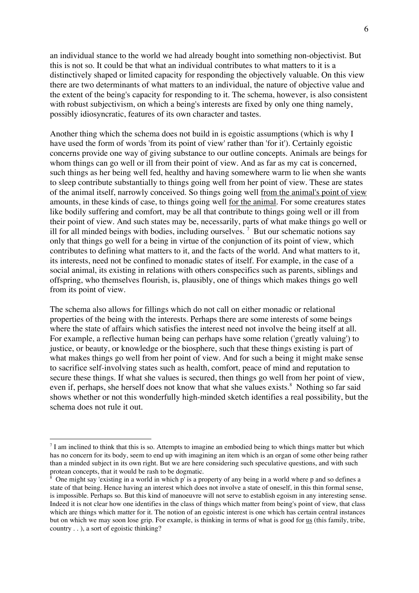an individual stance to the world we had already bought into something non-objectivist. But this is not so. It could be that what an individual contributes to what matters to it is a distinctively shaped or limited capacity for responding the objectively valuable. On this view there are two determinants of what matters to an individual, the nature of objective value and the extent of the being's capacity for responding to it. The schema, however, is also consistent with robust subjectivism, on which a being's interests are fixed by only one thing namely, possibly idiosyncratic, features of its own character and tastes.

Another thing which the schema does not build in is egoistic assumptions (which is why I have used the form of words 'from its point of view' rather than 'for it'). Certainly egoistic concerns provide one way of giving substance to our outline concepts. Animals are beings for whom things can go well or ill from their point of view. And as far as my cat is concerned, such things as her being well fed, healthy and having somewhere warm to lie when she wants to sleep contribute substantially to things going well from her point of view. These are states of the animal itself, narrowly conceived. So things going well from the animal's point of view amounts, in these kinds of case, to things going well for the animal. For some creatures states like bodily suffering and comfort, may be all that contribute to things going well or ill from their point of view. And such states may be, necessarily, parts of what make things go well or ill for all minded beings with bodies, including ourselves.<sup>7</sup> But our schematic notions say only that things go well for a being in virtue of the conjunction of its point of view, which contributes to defining what matters to it, and the facts of the world. And what matters to it, its interests, need not be confined to monadic states of itself. For example, in the case of a social animal, its existing in relations with others conspecifics such as parents, siblings and offspring, who themselves flourish, is, plausibly, one of things which makes things go well from its point of view.

The schema also allows for fillings which do not call on either monadic or relational properties of the being with the interests. Perhaps there are some interests of some beings where the state of affairs which satisfies the interest need not involve the being itself at all. For example, a reflective human being can perhaps have some relation ('greatly valuing') to justice, or beauty, or knowledge or the biosphere, such that these things existing is part of what makes things go well from her point of view. And for such a being it might make sense to sacrifice self-involving states such as health, comfort, peace of mind and reputation to secure these things. If what she values is secured, then things go well from her point of view, even if, perhaps, she herself does not know that what she values exists.<sup>8</sup> Nothing so far said shows whether or not this wonderfully high-minded sketch identifies a real possibility, but the schema does not rule it out.

 $<sup>7</sup>$  I am inclined to think that this is so. Attempts to imagine an embodied being to which things matter but which</sup> has no concern for its body, seem to end up with imagining an item which is an organ of some other being rather than a minded subject in its own right. But we are here considering such speculative questions, and with such protean concepts, that it would be rash to be dogmatic.

<sup>&</sup>lt;sup>8</sup> One might say 'existing in a world in which  $p'$  is a property of any being in a world where p and so defines a state of that being. Hence having an interest which does not involve a state of oneself, in this thin formal sense, is impossible. Perhaps so. But this kind of manoeuvre will not serve to establish egoism in any interesting sense. Indeed it is not clear how one identifies in the class of things which matter from being's point of view, that class which are things which matter for it. The notion of an egoistic interest is one which has certain central instances but on which we may soon lose grip. For example, is thinking in terms of what is good for us (this family, tribe, country . . ), a sort of egoistic thinking?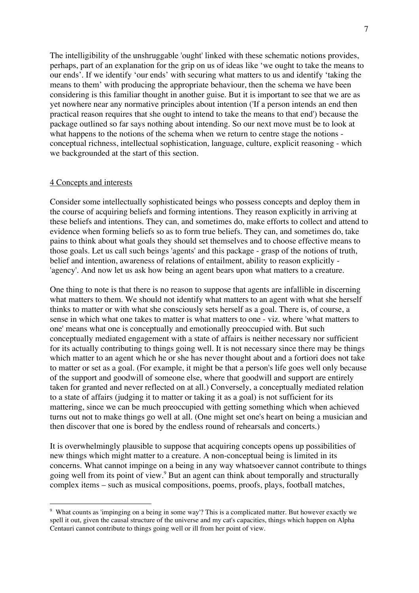The intelligibility of the unshruggable 'ought' linked with these schematic notions provides, perhaps, part of an explanation for the grip on us of ideas like 'we ought to take the means to our ends'. If we identify 'our ends' with securing what matters to us and identify 'taking the means to them' with producing the appropriate behaviour, then the schema we have been considering is this familiar thought in another guise. But it is important to see that we are as yet nowhere near any normative principles about intention ('If a person intends an end then practical reason requires that she ought to intend to take the means to that end') because the package outlined so far says nothing about intending. So our next move must be to look at what happens to the notions of the schema when we return to centre stage the notions conceptual richness, intellectual sophistication, language, culture, explicit reasoning - which we backgrounded at the start of this section.

#### 4 Concepts and interests

Consider some intellectually sophisticated beings who possess concepts and deploy them in the course of acquiring beliefs and forming intentions. They reason explicitly in arriving at these beliefs and intentions. They can, and sometimes do, make efforts to collect and attend to evidence when forming beliefs so as to form true beliefs. They can, and sometimes do, take pains to think about what goals they should set themselves and to choose effective means to those goals. Let us call such beings 'agents' and this package - grasp of the notions of truth, belief and intention, awareness of relations of entailment, ability to reason explicitly - 'agency'. And now let us ask how being an agent bears upon what matters to a creature.

One thing to note is that there is no reason to suppose that agents are infallible in discerning what matters to them. We should not identify what matters to an agent with what she herself thinks to matter or with what she consciously sets herself as a goal. There is, of course, a sense in which what one takes to matter is what matters to one - viz. where 'what matters to one' means what one is conceptually and emotionally preoccupied with. But such conceptually mediated engagement with a state of affairs is neither necessary nor sufficient for its actually contributing to things going well. It is not necessary since there may be things which matter to an agent which he or she has never thought about and a fortiori does not take to matter or set as a goal. (For example, it might be that a person's life goes well only because of the support and goodwill of someone else, where that goodwill and support are entirely taken for granted and never reflected on at all.) Conversely, a conceptually mediated relation to a state of affairs (judging it to matter or taking it as a goal) is not sufficient for its mattering, since we can be much preoccupied with getting something which when achieved turns out not to make things go well at all. (One might set one's heart on being a musician and then discover that one is bored by the endless round of rehearsals and concerts.)

It is overwhelmingly plausible to suppose that acquiring concepts opens up possibilities of new things which might matter to a creature. A non-conceptual being is limited in its concerns. What cannot impinge on a being in any way whatsoever cannot contribute to things going well from its point of view.<sup>9</sup> But an agent can think about temporally and structurally complex items – such as musical compositions, poems, proofs, plays, football matches,

 <sup>9</sup> What counts as 'impinging on <sup>a</sup> being in some way'? This is <sup>a</sup> complicated matter. But however exactly we spell it out, given the causal structure of the universe and my cat's capacities, things which happen on Alpha Centauri cannot contribute to things going well or ill from her point of view.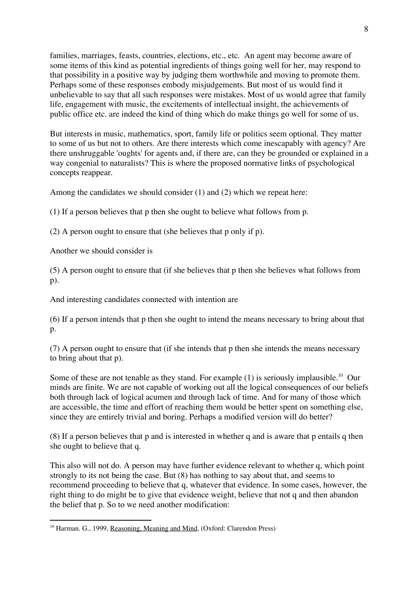families, marriages, feasts, countries, elections, etc., etc. An agent may become aware of some items of this kind as potential ingredients of things going well for her, may respond to that possibility in a positive way by judging them worthwhile and moving to promote them. Perhaps some of these responses embody misjudgements. But most of us would find it unbelievable to say that all such responses were mistakes. Most of us would agree that family life, engagement with music, the excitements of intellectual insight, the achievements of public office etc. are indeed the kind of thing which do make things go well for some of us.

But interests in music, mathematics, sport, family life or politics seem optional. They matter to some of us but not to others. Are there interests which come inescapably with agency? Are there unshruggable 'oughts' for agents and, if there are, can they be grounded or explained in a way congenial to naturalists? This is where the proposed normative links of psychological concepts reappear.

Among the candidates we should consider (1) and (2) which we repeat here:

(1) If a person believes that p then she ought to believe what follows from p.

(2) A person ought to ensure that (she believes that p only if p).

Another we should consider is

(5) A person ought to ensure that (if she believes that p then she believes what follows from p).

And interesting candidates connected with intention are

(6) If a person intends that p then she ought to intend the means necessary to bring about that  $p_{\cdot}$ 

(7) A person ought to ensure that (if she intends that p then she intends the means necessary to bring about that p).

Some of these are not tenable as they stand. For example  $(1)$  is seriously implausible.<sup>10</sup> Our minds are finite. We are not capable of working out all the logical consequences of our beliefs both through lack of logical acumen and through lack of time. And for many of those which are accessible, the time and effort of reaching them would be better spent on something else, since they are entirely trivial and boring. Perhaps a modified version will do better?

(8) If a person believes that p and is interested in whether q and is aware that p entails q then she ought to believe that q.

This also will not do. A person may have further evidence relevant to whether q, which point strongly to its not being the case. But (8) has nothing to say about that, and seems to recommend proceeding to believe that q, whatever that evidence. In some cases, however, the right thing to do might be to give that evidence weight, believe that not q and then abandon the belief that p. So to we need another modification:

<sup>&</sup>lt;sup>10</sup> Harman. G., 1999, Reasoning, Meaning and Mind, (Oxford: Clarendon Press)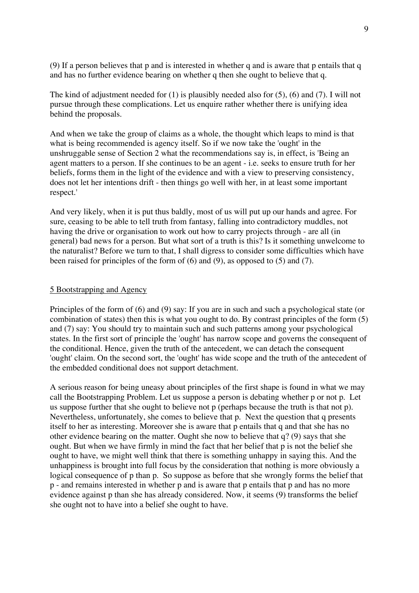(9) If a person believes that p and is interested in whether q and is aware that p entails that q and has no further evidence bearing on whether q then she ought to believe that q.

The kind of adjustment needed for  $(1)$  is plausibly needed also for  $(5)$ ,  $(6)$  and  $(7)$ . I will not pursue through these complications. Let us enquire rather whether there is unifying idea behind the proposals.

And when we take the group of claims as a whole, the thought which leaps to mind is that what is being recommended is agency itself. So if we now take the 'ought' in the unshruggable sense of Section 2 what the recommendations say is, in effect, is 'Being an agent matters to a person. If she continues to be an agent - i.e. seeks to ensure truth for her beliefs, forms them in the light of the evidence and with a view to preserving consistency, does not let her intentions drift - then things go well with her, in at least some important respect.'

And very likely, when it is put thus baldly, most of us will put up our hands and agree. For sure, ceasing to be able to tell truth from fantasy, falling into contradictory muddles, not having the drive or organisation to work out how to carry projects through - are all (in general) bad news for a person. But what sort of a truth is this? Is it something unwelcome to the naturalist? Before we turn to that, I shall digress to consider some difficulties which have been raised for principles of the form of (6) and (9), as opposed to (5) and (7).

### 5 Bootstrapping and Agency

Principles of the form of (6) and (9) say: If you are in such and such a psychological state (or combination of states) then this is what you ought to do. By contrast principles of the form (5) and (7) say: You should try to maintain such and such patterns among your psychological states. In the first sort of principle the 'ought' has narrow scope and governs the consequent of the conditional. Hence, given the truth of the antecedent, we can detach the consequent 'ought' claim. On the second sort, the 'ought' has wide scope and the truth of the antecedent of the embedded conditional does not support detachment.

A serious reason for being uneasy about principles of the first shape is found in what we may call the Bootstrapping Problem. Let us suppose a person is debating whether p or not p. Let us suppose further that she ought to believe not p (perhaps because the truth is that not p). Nevertheless, unfortunately, she comes to believe that p. Next the question that q presents itself to her as interesting. Moreover she is aware that p entails that q and that she has no other evidence bearing on the matter. Ought she now to believe that q? (9) says that she ought. But when we have firmly in mind the fact that her belief that p is not the belief she ought to have, we might well think that there is something unhappy in saying this. And the unhappiness is brought into full focus by the consideration that nothing is more obviously a logical consequence of p than p. So suppose as before that she wrongly forms the belief that p - and remains interested in whether p and is aware that p entails that p and has no more evidence against p than she has already considered. Now, it seems (9) transforms the belief she ought not to have into a belief she ought to have.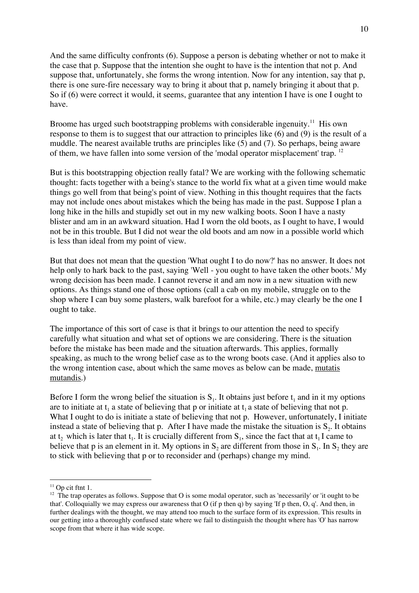And the same difficulty confronts (6). Suppose a person is debating whether or not to make it the case that p. Suppose that the intention she ought to have is the intention that not p. And suppose that, unfortunately, she forms the wrong intention. Now for any intention, say that p, there is one sure-fire necessary way to bring it about that p, namely bringing it about that p. So if (6) were correct it would, it seems, guarantee that any intention I have is one I ought to have.

Broome has urged such bootstrapping problems with considerable ingenuity.<sup>11</sup> His own response to them is to suggest that our attraction to principles like (6) and (9) is the result of a muddle. The nearest available truths are principles like (5) and (7). So perhaps, being aware of them, we have fallen into some version of the 'modal operator misplacement' trap. <sup>12</sup>

But is this bootstrapping objection really fatal? We are working with the following schematic thought: facts together with a being's stance to the world fix what at a given time would make things go well from that being's point of view. Nothing in this thought requires that the facts may not include ones about mistakes which the being has made in the past. Suppose I plan a long hike in the hills and stupidly set out in my new walking boots. Soon I have a nasty blister and am in an awkward situation. Had I worn the old boots, as I ought to have, I would not be in this trouble. But I did not wear the old boots and am now in a possible world which is less than ideal from my point of view.

But that does not mean that the question 'What ought I to do now?' has no answer. It does not help only to hark back to the past, saying 'Well - you ought to have taken the other boots.' My wrong decision has been made. I cannot reverse it and am now in a new situation with new options. As things stand one of those options (call a cab on my mobile, struggle on to the shop where I can buy some plasters, walk barefoot for a while, etc.) may clearly be the one I ought to take.

The importance of this sort of case is that it brings to our attention the need to specify carefully what situation and what set of options we are considering. There is the situation before the mistake has been made and the situation afterwards. This applies, formally speaking, as much to the wrong belief case as to the wrong boots case. (And it applies also to the wrong intention case, about which the same moves as below can be made, mutatis mutandis.)

Before I form the wrong belief the situation is  $S<sub>1</sub>$ . It obtains just before  $t<sub>1</sub>$  and in it my options are to initiate at  $t_1$  a state of believing that p or initiate at  $t_1$  a state of believing that not p. What I ought to do is initiate a state of believing that not p. However, unfortunately, I initiate instead a state of believing that p. After I have made the mistake the situation is  $S_2$ . It obtains at t<sub>2</sub> which is later that t<sub>1</sub>. It is crucially different from  $S_1$ , since the fact that at t<sub>1</sub> I came to believe that p is an element in it. My options in  $S_2$  are different from those in  $S_1$ . In  $S_2$  they are to stick with believing that p or to reconsider and (perhaps) change my mind.

 $11$  Op cit ftnt 1.

 $12$  The trap operates as follows. Suppose that O is some modal operator, such as 'necessarily' or 'it ought to be that'. Colloquially we may express our awareness that O (if p then q) by saying 'If p then, O, q'. And then, in further dealings with the thought, we may attend too much to the surface form of its expression. This results in our getting into a thoroughly confused state where we fail to distinguish the thought where has 'O' has narrow scope from that where it has wide scope.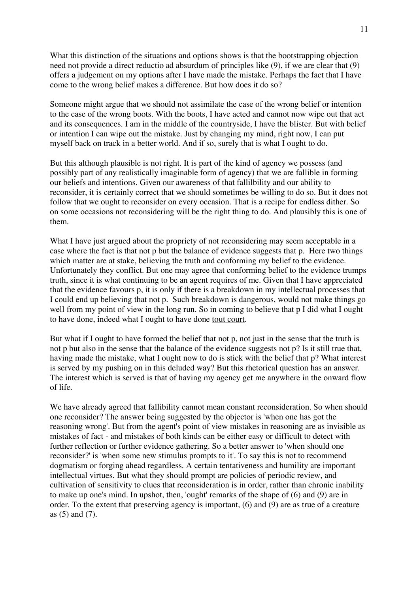What this distinction of the situations and options shows is that the bootstrapping objection need not provide a direct reductio ad absurdum of principles like (9), if we are clear that (9) offers a judgement on my options after I have made the mistake. Perhaps the fact that I have come to the wrong belief makes a difference. But how does it do so?

Someone might argue that we should not assimilate the case of the wrong belief or intention to the case of the wrong boots. With the boots, I have acted and cannot now wipe out that act and its consequences. I am in the middle of the countryside, I have the blister. But with belief or intention I can wipe out the mistake. Just by changing my mind, right now, I can put myself back on track in a better world. And if so, surely that is what I ought to do.

But this although plausible is not right. It is part of the kind of agency we possess (and possibly part of any realistically imaginable form of agency) that we are fallible in forming our beliefs and intentions. Given our awareness of that fallilbility and our ability to reconsider, it is certainly correct that we should sometimes be willing to do so. But it does not follow that we ought to reconsider on every occasion. That is a recipe for endless dither. So on some occasions not reconsidering will be the right thing to do. And plausibly this is one of them.

What I have just argued about the propriety of not reconsidering may seem acceptable in a case where the fact is that not p but the balance of evidence suggests that p. Here two things which matter are at stake, believing the truth and conforming my belief to the evidence. Unfortunately they conflict. But one may agree that conforming belief to the evidence trumps truth, since it is what continuing to be an agent requires of me. Given that I have appreciated that the evidence favours p, it is only if there is a breakdown in my intellectual processes that I could end up believing that not p. Such breakdown is dangerous, would not make things go well from my point of view in the long run. So in coming to believe that p I did what I ought to have done, indeed what I ought to have done tout court.

But what if I ought to have formed the belief that not p, not just in the sense that the truth is not p but also in the sense that the balance of the evidence suggests not p? Is it still true that, having made the mistake, what I ought now to do is stick with the belief that p? What interest is served by my pushing on in this deluded way? But this rhetorical question has an answer. The interest which is served is that of having my agency get me anywhere in the onward flow of life.

We have already agreed that fallibility cannot mean constant reconsideration. So when should one reconsider? The answer being suggested by the objector is 'when one has got the reasoning wrong'. But from the agent's point of view mistakes in reasoning are as invisible as mistakes of fact - and mistakes of both kinds can be either easy or difficult to detect with further reflection or further evidence gathering. So a better answer to 'when should one reconsider?' is 'when some new stimulus prompts to it'. To say this is not to recommend dogmatism or forging ahead regardless. A certain tentativeness and humility are important intellectual virtues. But what they should prompt are policies of periodic review, and cultivation of sensitivity to clues that reconsideration is in order, rather than chronic inability to make up one's mind. In upshot, then, 'ought' remarks of the shape of (6) and (9) are in order. To the extent that preserving agency is important, (6) and (9) are as true of a creature as (5) and (7).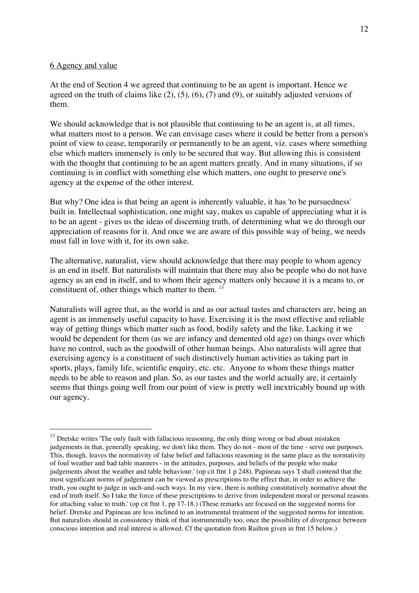### 6 Agency and value

At the end of Section 4 we agreed that continuing to be an agent is important. Hence we agreed on the truth of claims like  $(2)$ ,  $(5)$ ,  $(6)$ ,  $(7)$  and  $(9)$ , or suitably adjusted versions of them.

We should acknowledge that is not plausible that continuing to be an agent is, at all times, what matters most to a person. We can envisage cases where it could be better from a person's point of view to cease, temporarily or permanently to be an agent, viz. cases where something else which matters immensely is only to be secured that way. But allowing this is consistent with the thought that continuing to be an agent matters greatly. And in many situations, if so continuing is in conflict with something else which matters, one ought to preserve one's agency at the expense of the other interest.

But why? One idea is that being an agent is inherently valuable, it has 'to be pursuedness' built in. Intellectual sophistication, one might say, makes us capable of appreciating what it is to be an agent - gives us the ideas of discerning truth, of determining what we do through our appreciation of reasons for it. And once we are aware of this possible way of being, we needs must fall in love with it, for its own sake.

The alternative, naturalist, view should acknowledge that there may people to whom agency is an end in itself. But naturalists will maintain that there may also be people who do not have agency as an end in itself, and to whom their agency matters only because it is a means to, or constituent of, other things which matter to them.<sup>13</sup>

Naturalists will agree that, as the world is and as our actual tastes and characters are, being an agent is an immensely useful capacity to have. Exercising it is the most effective and reliable way of getting things which matter such as food, bodily safety and the like. Lacking it we would be dependent for them (as we are infancy and demented old age) on things over which have no control, such as the goodwill of other human beings. Also naturalists will agree that exercising agency is a constituent of such distinctively human activities as taking part in sports, plays, family life, scientific enquiry, etc. etc. Anyone to whom these things matter needs to be able to reason and plan. So, as our tastes and the world actually are, it certainly seems that things going well from our point of view is pretty well inextricably bound up with our agency.

<sup>&</sup>lt;sup>13</sup> Dretske writes 'The only fault with fallacious reasoning, the only thing wrong or bad about mistaken judgements in that, generally speaking, we don't like them. They do not - most of the time - serve our purposes. This, though, leaves the normativity of false belief and fallacious reasoning in the same place as the normativity of foul weather and bad table manners - in the attitudes, purposes, and beliefs of the people who make judgements about the weather and table behaviour.' (op cit ftnt 1 p 248). Papineau says 'I shall contend that the most significant norms of judgement can be viewed as prescriptions to the effect that, in order to achieve the truth, you ought to judge in such-and-such ways. In my view, there is nothing constitutively normative about the end of truth itself. So I take the force of these prescriptions to derive from independent moral or personal reasons for attaching value to truth.' (op cit ftnt 1, pp 17-18.) (These remarks are focused on the suggested norms for belief. Dretske and Papineau are less inclined to an instrumental treatment of the suggested norms for intention. But naturalists should in consistency think of that instrumentally too, once the possibility of divergence between conscious intention and real interest is allowed. Cf the quotation from Railton given in ftnt 15 below.)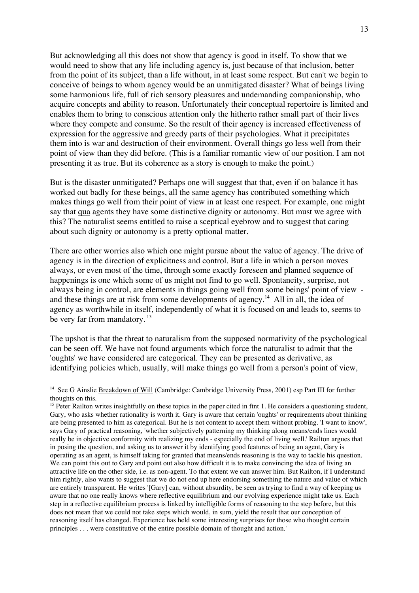But acknowledging all this does not show that agency is good in itself. To show that we would need to show that any life including agency is, just because of that inclusion, better from the point of its subject, than a life without, in at least some respect. But can't we begin to conceive of beings to whom agency would be an unmitigated disaster? What of beings living some harmonious life, full of rich sensory pleasures and undemanding companionship, who acquire concepts and ability to reason. Unfortunately their conceptual repertoire is limited and enables them to bring to conscious attention only the hitherto rather small part of their lives where they compete and consume. So the result of their agency is increased effectiveness of expression for the aggressive and greedy parts of their psychologies. What it precipitates them into is war and destruction of their environment. Overall things go less well from their point of view than they did before. (This is a familiar romantic view of our position. I am not presenting it as true. But its coherence as a story is enough to make the point.)

But is the disaster unmitigated? Perhaps one will suggest that that, even if on balance it has worked out badly for these beings, all the same agency has contributed something which makes things go well from their point of view in at least one respect. For example, one might say that qua agents they have some distinctive dignity or autonomy. But must we agree with this? The naturalist seems entitled to raise a sceptical eyebrow and to suggest that caring about such dignity or autonomy is a pretty optional matter.

There are other worries also which one might pursue about the value of agency. The drive of agency is in the direction of explicitness and control. But a life in which a person moves always, or even most of the time, through some exactly foreseen and planned sequence of happenings is one which some of us might not find to go well. Spontaneity, surprise, not always being in control, are elements in things going well from some beings' point of view and these things are at risk from some developments of agency.<sup>14</sup> All in all, the idea of agency as worthwhile in itself, independently of what it is focused on and leads to, seems to be very far from mandatory.<sup>15</sup>

The upshot is that the threat to naturalism from the supposed normativity of the psychological can be seen off. We have not found arguments which force the naturalist to admit that the 'oughts' we have considered are categorical. They can be presented as derivative, as identifying policies which, usually, will make things go well from a person's point of view,

<sup>&</sup>lt;sup>14</sup> See G Ainslie Breakdown of Will (Cambridge: Cambridge University Press, 2001) esp Part III for further thoughts on this.

 $15$  Peter Railton writes insightfully on these topics in the paper cited in ftnt 1. He considers a questioning student, Gary, who asks whether rationality is worth it. Gary is aware that certain 'oughts' or requirements about thinking are being presented to him as categorical. But he is not content to accept them without probing. 'I want to know', says Gary of practical reasoning, 'whether subjectively patterning my thinking along means/ends lines would really be in objective conformity with realizing my ends - especially the end of living well.' Railton argues that in posing the question, and asking us to answer it by identifying good features of being an agent, Gary is operating as an agent, is himself taking for granted that means/ends reasoning is the way to tackle his question. We can point this out to Gary and point out also how difficult it is to make convincing the idea of living an attractive life on the other side, i.e. as non-agent. To that extent we can answer him. But Railton, if I understand him rightly, also wants to suggest that we do not end up here endorsing something the nature and value of which are entirely transparent. He writes '[Gary] can, without absurdity, be seen as trying to find a way of keeping us aware that no one really knows where reflective equilibrium and our evolving experience might take us. Each step in a reflective equilibrium process is linked by intelligible forms of reasoning to the step before, but this does not mean that we could not take steps which would, in sum, yield the result that our conception of reasoning itself has changed. Experience has held some interesting surprises for those who thought certain principles . . . were constitutive of the entire possible domain of thought and action.'